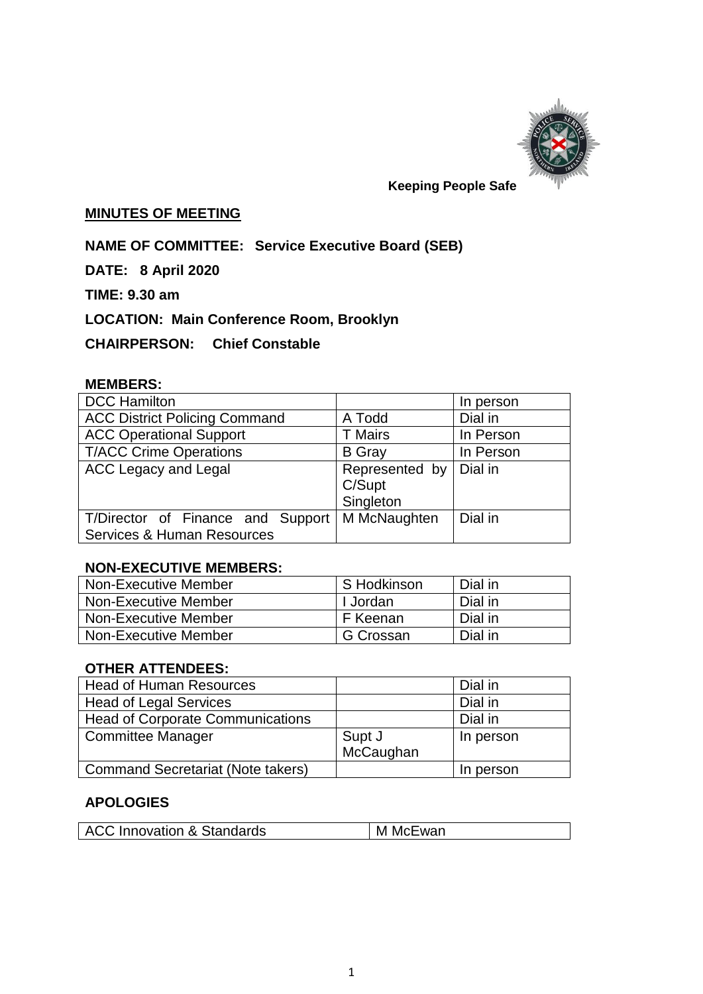

# **Keeping People Safe**

## **MINUTES OF MEETING**

**NAME OF COMMITTEE: Service Executive Board (SEB)**

**DATE: 8 April 2020**

**TIME: 9.30 am**

**LOCATION: Main Conference Room, Brooklyn**

**CHAIRPERSON: Chief Constable** 

# **MEMBERS:**

| <b>DCC Hamilton</b>                  |                                                 | In person |
|--------------------------------------|-------------------------------------------------|-----------|
| <b>ACC District Policing Command</b> | Dial in<br>A Todd                               |           |
| <b>ACC Operational Support</b>       | <b>T</b> Mairs                                  | In Person |
| <b>T/ACC Crime Operations</b>        | <b>B</b> Gray<br>In Person                      |           |
| <b>ACC Legacy and Legal</b>          | Represented by   Dial in<br>C/Supt<br>Singleton |           |
| T/Director of Finance and Support    | M McNaughten                                    | Dial in   |
| Services & Human Resources           |                                                 |           |

#### **NON-EXECUTIVE MEMBERS:**

| <b>Non-Executive Member</b> | S Hodkinson | Dial in |
|-----------------------------|-------------|---------|
| Non-Executive Member        | I Jordan    | Dial in |
| Non-Executive Member        | F Keenan    | Dial in |
| <b>Non-Executive Member</b> | G Crossan   | Dial in |

## **OTHER ATTENDEES:**

| Head of Human Resources                  |           | Dial in   |
|------------------------------------------|-----------|-----------|
| Head of Legal Services                   |           | Dial in   |
| <b>Head of Corporate Communications</b>  |           | Dial in   |
| Committee Manager                        | Supt J    | In person |
|                                          | McCaughan |           |
| <b>Command Secretariat (Note takers)</b> |           | In person |

# **APOLOGIES**

| <b>ACC Innovation &amp; Standards</b> | M McEwan |
|---------------------------------------|----------|
|                                       |          |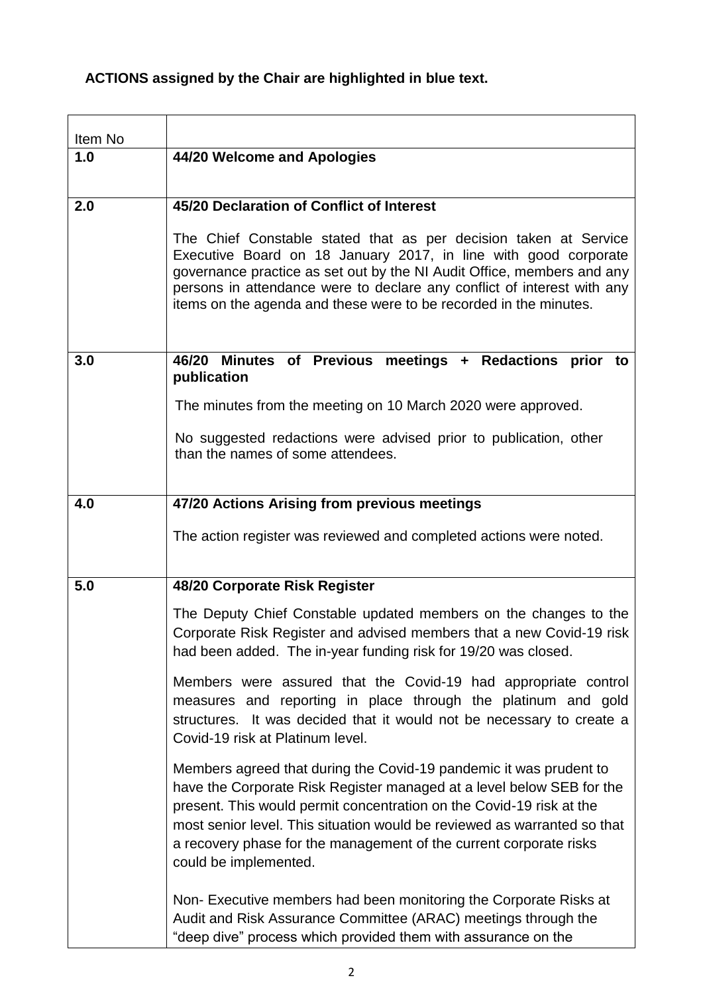# **ACTIONS assigned by the Chair are highlighted in blue text.**

| Item No |                                                                                                                                                                                                                                                                                                                                                                                                |  |  |
|---------|------------------------------------------------------------------------------------------------------------------------------------------------------------------------------------------------------------------------------------------------------------------------------------------------------------------------------------------------------------------------------------------------|--|--|
| 1.0     | 44/20 Welcome and Apologies                                                                                                                                                                                                                                                                                                                                                                    |  |  |
|         |                                                                                                                                                                                                                                                                                                                                                                                                |  |  |
| 2.0     | 45/20 Declaration of Conflict of Interest                                                                                                                                                                                                                                                                                                                                                      |  |  |
|         | The Chief Constable stated that as per decision taken at Service<br>Executive Board on 18 January 2017, in line with good corporate<br>governance practice as set out by the NI Audit Office, members and any<br>persons in attendance were to declare any conflict of interest with any<br>items on the agenda and these were to be recorded in the minutes.                                  |  |  |
| 3.0     | Minutes of Previous meetings + Redactions prior to<br>46/20<br>publication                                                                                                                                                                                                                                                                                                                     |  |  |
|         | The minutes from the meeting on 10 March 2020 were approved.                                                                                                                                                                                                                                                                                                                                   |  |  |
|         | No suggested redactions were advised prior to publication, other<br>than the names of some attendees.                                                                                                                                                                                                                                                                                          |  |  |
| 4.0     | 47/20 Actions Arising from previous meetings                                                                                                                                                                                                                                                                                                                                                   |  |  |
|         | The action register was reviewed and completed actions were noted.                                                                                                                                                                                                                                                                                                                             |  |  |
| 5.0     | 48/20 Corporate Risk Register                                                                                                                                                                                                                                                                                                                                                                  |  |  |
|         | The Deputy Chief Constable updated members on the changes to the<br>Corporate Risk Register and advised members that a new Covid-19 risk<br>had been added. The in-year funding risk for 19/20 was closed.                                                                                                                                                                                     |  |  |
|         | Members were assured that the Covid-19 had appropriate control<br>measures and reporting in place through the platinum and gold<br>structures. It was decided that it would not be necessary to create a<br>Covid-19 risk at Platinum level.                                                                                                                                                   |  |  |
|         | Members agreed that during the Covid-19 pandemic it was prudent to<br>have the Corporate Risk Register managed at a level below SEB for the<br>present. This would permit concentration on the Covid-19 risk at the<br>most senior level. This situation would be reviewed as warranted so that<br>a recovery phase for the management of the current corporate risks<br>could be implemented. |  |  |
|         | Non-Executive members had been monitoring the Corporate Risks at<br>Audit and Risk Assurance Committee (ARAC) meetings through the<br>"deep dive" process which provided them with assurance on the                                                                                                                                                                                            |  |  |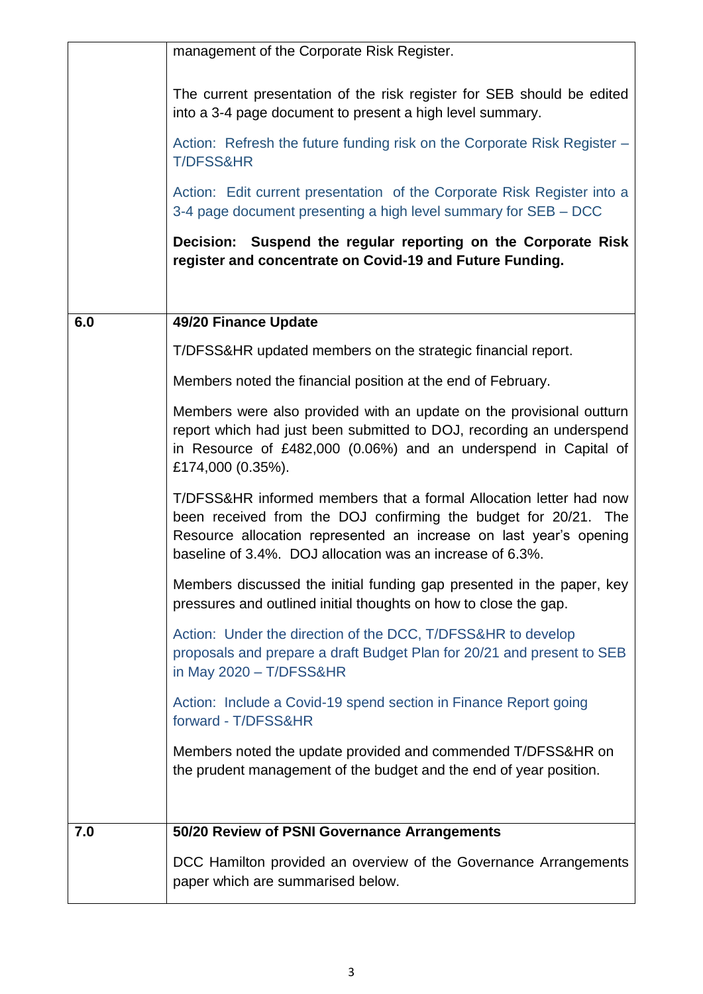|     | management of the Corporate Risk Register.                                                                                                                                                                                                                               |  |  |
|-----|--------------------------------------------------------------------------------------------------------------------------------------------------------------------------------------------------------------------------------------------------------------------------|--|--|
|     | The current presentation of the risk register for SEB should be edited<br>into a 3-4 page document to present a high level summary.                                                                                                                                      |  |  |
|     | Action: Refresh the future funding risk on the Corporate Risk Register -<br><b>T/DFSS&amp;HR</b>                                                                                                                                                                         |  |  |
|     | Action: Edit current presentation of the Corporate Risk Register into a<br>3-4 page document presenting a high level summary for SEB – DCC                                                                                                                               |  |  |
|     | Decision: Suspend the regular reporting on the Corporate Risk<br>register and concentrate on Covid-19 and Future Funding.                                                                                                                                                |  |  |
|     |                                                                                                                                                                                                                                                                          |  |  |
| 6.0 | 49/20 Finance Update                                                                                                                                                                                                                                                     |  |  |
|     | T/DFSS&HR updated members on the strategic financial report.                                                                                                                                                                                                             |  |  |
|     | Members noted the financial position at the end of February.                                                                                                                                                                                                             |  |  |
|     | Members were also provided with an update on the provisional outturn<br>report which had just been submitted to DOJ, recording an underspend<br>in Resource of £482,000 (0.06%) and an underspend in Capital of<br>£174,000 (0.35%).                                     |  |  |
|     | T/DFSS&HR informed members that a formal Allocation letter had now<br>been received from the DOJ confirming the budget for 20/21. The<br>Resource allocation represented an increase on last year's opening<br>baseline of 3.4%. DOJ allocation was an increase of 6.3%. |  |  |
|     | Members discussed the initial funding gap presented in the paper, key<br>pressures and outlined initial thoughts on how to close the gap.                                                                                                                                |  |  |
|     | Action: Under the direction of the DCC, T/DFSS&HR to develop<br>proposals and prepare a draft Budget Plan for 20/21 and present to SEB<br>in May 2020 - T/DFSS&HR                                                                                                        |  |  |
|     | Action: Include a Covid-19 spend section in Finance Report going<br>forward - T/DFSS&HR                                                                                                                                                                                  |  |  |
|     | Members noted the update provided and commended T/DFSS&HR on<br>the prudent management of the budget and the end of year position.                                                                                                                                       |  |  |
| 7.0 | 50/20 Review of PSNI Governance Arrangements                                                                                                                                                                                                                             |  |  |
|     | DCC Hamilton provided an overview of the Governance Arrangements<br>paper which are summarised below.                                                                                                                                                                    |  |  |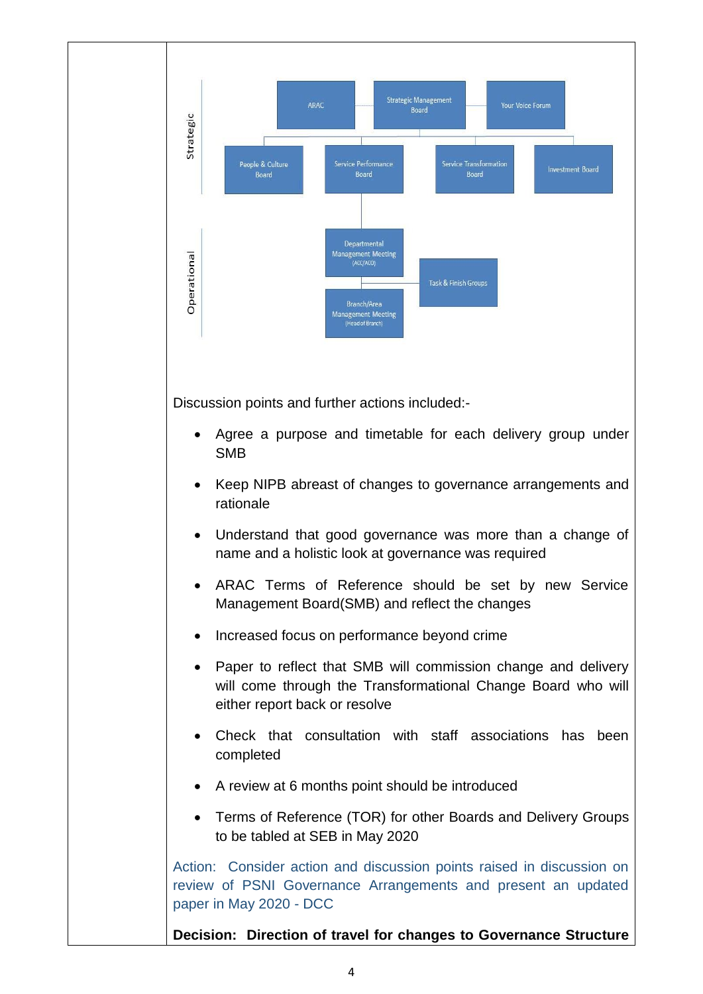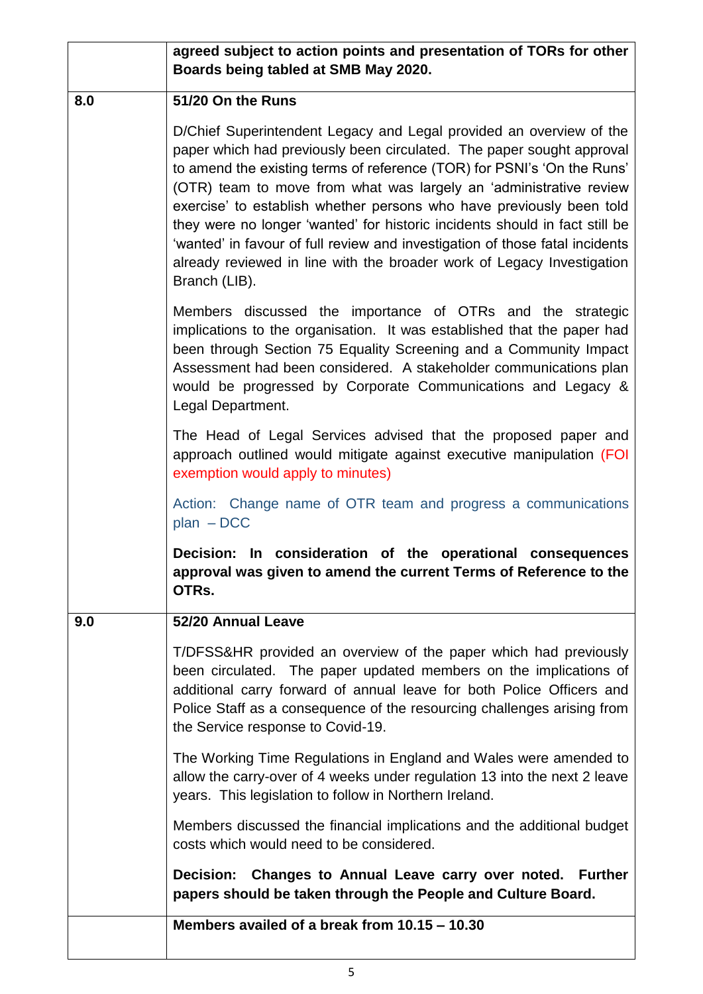|     | agreed subject to action points and presentation of TORs for other<br>Boards being tabled at SMB May 2020.                                                                                                                                                                                                                                                                                                                                                                                                                                                                                                                      |
|-----|---------------------------------------------------------------------------------------------------------------------------------------------------------------------------------------------------------------------------------------------------------------------------------------------------------------------------------------------------------------------------------------------------------------------------------------------------------------------------------------------------------------------------------------------------------------------------------------------------------------------------------|
| 8.0 | 51/20 On the Runs                                                                                                                                                                                                                                                                                                                                                                                                                                                                                                                                                                                                               |
|     | D/Chief Superintendent Legacy and Legal provided an overview of the<br>paper which had previously been circulated. The paper sought approval<br>to amend the existing terms of reference (TOR) for PSNI's 'On the Runs'<br>(OTR) team to move from what was largely an 'administrative review<br>exercise' to establish whether persons who have previously been told<br>they were no longer 'wanted' for historic incidents should in fact still be<br>'wanted' in favour of full review and investigation of those fatal incidents<br>already reviewed in line with the broader work of Legacy Investigation<br>Branch (LIB). |
|     | Members discussed the importance of OTRs and the strategic<br>implications to the organisation. It was established that the paper had<br>been through Section 75 Equality Screening and a Community Impact<br>Assessment had been considered. A stakeholder communications plan<br>would be progressed by Corporate Communications and Legacy &<br>Legal Department.                                                                                                                                                                                                                                                            |
|     | The Head of Legal Services advised that the proposed paper and<br>approach outlined would mitigate against executive manipulation (FOI<br>exemption would apply to minutes)                                                                                                                                                                                                                                                                                                                                                                                                                                                     |
|     | Action: Change name of OTR team and progress a communications<br>$plan$ – DCC                                                                                                                                                                                                                                                                                                                                                                                                                                                                                                                                                   |
|     | Decision: In consideration of the operational consequences<br>approval was given to amend the current Terms of Reference to the<br>OTRs.                                                                                                                                                                                                                                                                                                                                                                                                                                                                                        |
| 9.0 | 52/20 Annual Leave                                                                                                                                                                                                                                                                                                                                                                                                                                                                                                                                                                                                              |
|     | T/DFSS&HR provided an overview of the paper which had previously<br>been circulated. The paper updated members on the implications of<br>additional carry forward of annual leave for both Police Officers and<br>Police Staff as a consequence of the resourcing challenges arising from<br>the Service response to Covid-19.                                                                                                                                                                                                                                                                                                  |
|     | The Working Time Regulations in England and Wales were amended to<br>allow the carry-over of 4 weeks under regulation 13 into the next 2 leave<br>years. This legislation to follow in Northern Ireland.                                                                                                                                                                                                                                                                                                                                                                                                                        |
|     | Members discussed the financial implications and the additional budget<br>costs which would need to be considered.                                                                                                                                                                                                                                                                                                                                                                                                                                                                                                              |
|     | Decision: Changes to Annual Leave carry over noted. Further<br>papers should be taken through the People and Culture Board.                                                                                                                                                                                                                                                                                                                                                                                                                                                                                                     |
|     | Members availed of a break from 10.15 - 10.30                                                                                                                                                                                                                                                                                                                                                                                                                                                                                                                                                                                   |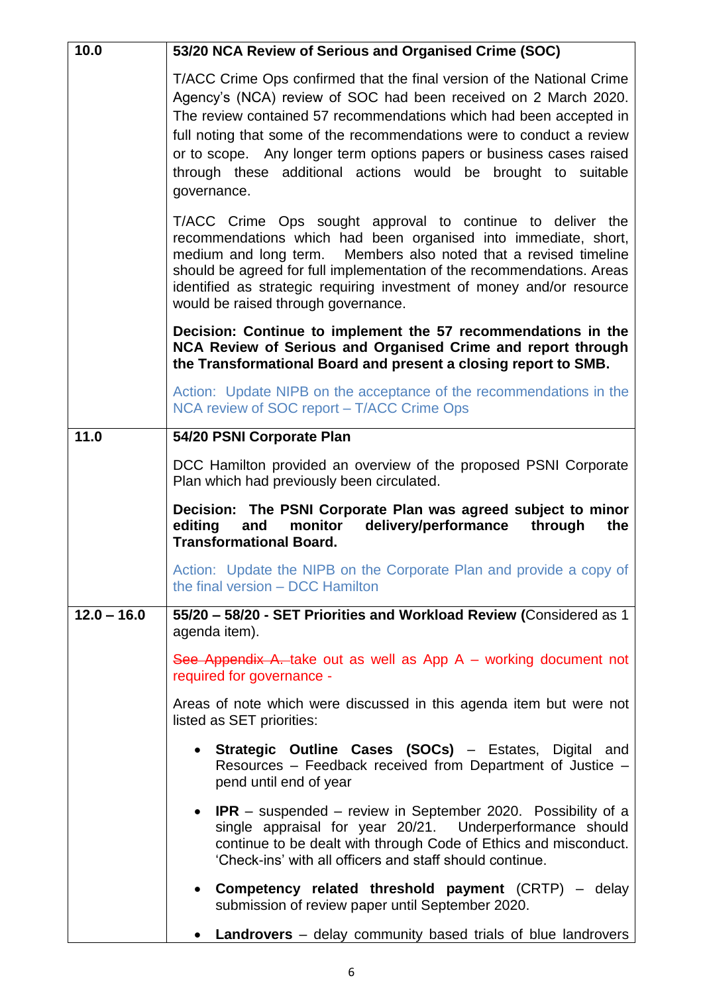| 10.0          | 53/20 NCA Review of Serious and Organised Crime (SOC)                                                                                                                                                                                                                                                                                                                                                                                            |  |  |  |
|---------------|--------------------------------------------------------------------------------------------------------------------------------------------------------------------------------------------------------------------------------------------------------------------------------------------------------------------------------------------------------------------------------------------------------------------------------------------------|--|--|--|
|               | T/ACC Crime Ops confirmed that the final version of the National Crime<br>Agency's (NCA) review of SOC had been received on 2 March 2020.<br>The review contained 57 recommendations which had been accepted in<br>full noting that some of the recommendations were to conduct a review<br>or to scope. Any longer term options papers or business cases raised<br>through these additional actions would be brought to suitable<br>governance. |  |  |  |
|               | T/ACC Crime Ops sought approval to continue to deliver the<br>recommendations which had been organised into immediate, short,<br>medium and long term. Members also noted that a revised timeline<br>should be agreed for full implementation of the recommendations. Areas<br>identified as strategic requiring investment of money and/or resource<br>would be raised through governance.                                                      |  |  |  |
|               | Decision: Continue to implement the 57 recommendations in the<br>NCA Review of Serious and Organised Crime and report through<br>the Transformational Board and present a closing report to SMB.                                                                                                                                                                                                                                                 |  |  |  |
|               | Action: Update NIPB on the acceptance of the recommendations in the<br>NCA review of SOC report - T/ACC Crime Ops                                                                                                                                                                                                                                                                                                                                |  |  |  |
| 11.0          | 54/20 PSNI Corporate Plan                                                                                                                                                                                                                                                                                                                                                                                                                        |  |  |  |
|               | DCC Hamilton provided an overview of the proposed PSNI Corporate<br>Plan which had previously been circulated.                                                                                                                                                                                                                                                                                                                                   |  |  |  |
|               | Decision: The PSNI Corporate Plan was agreed subject to minor<br>delivery/performance<br>editing<br>and<br>monitor<br>through<br>the<br><b>Transformational Board.</b>                                                                                                                                                                                                                                                                           |  |  |  |
|               |                                                                                                                                                                                                                                                                                                                                                                                                                                                  |  |  |  |
|               | Action: Update the NIPB on the Corporate Plan and provide a copy of<br>the final version - DCC Hamilton                                                                                                                                                                                                                                                                                                                                          |  |  |  |
| $12.0 - 16.0$ | 55/20 - 58/20 - SET Priorities and Workload Review (Considered as 1<br>agenda item).                                                                                                                                                                                                                                                                                                                                                             |  |  |  |
|               | See Appendix A. take out as well as App $A$ – working document not<br>required for governance -                                                                                                                                                                                                                                                                                                                                                  |  |  |  |
|               | Areas of note which were discussed in this agenda item but were not<br>listed as SET priorities:                                                                                                                                                                                                                                                                                                                                                 |  |  |  |
|               | • Strategic Outline Cases (SOCs) – Estates, Digital and<br>Resources - Feedback received from Department of Justice -<br>pend until end of year                                                                                                                                                                                                                                                                                                  |  |  |  |
|               | • IPR – suspended – review in September 2020. Possibility of a<br>single appraisal for year 20/21. Underperformance should<br>continue to be dealt with through Code of Ethics and misconduct.<br>'Check-ins' with all officers and staff should continue.                                                                                                                                                                                       |  |  |  |
|               | • Competency related threshold payment (CRTP) – delay<br>submission of review paper until September 2020.                                                                                                                                                                                                                                                                                                                                        |  |  |  |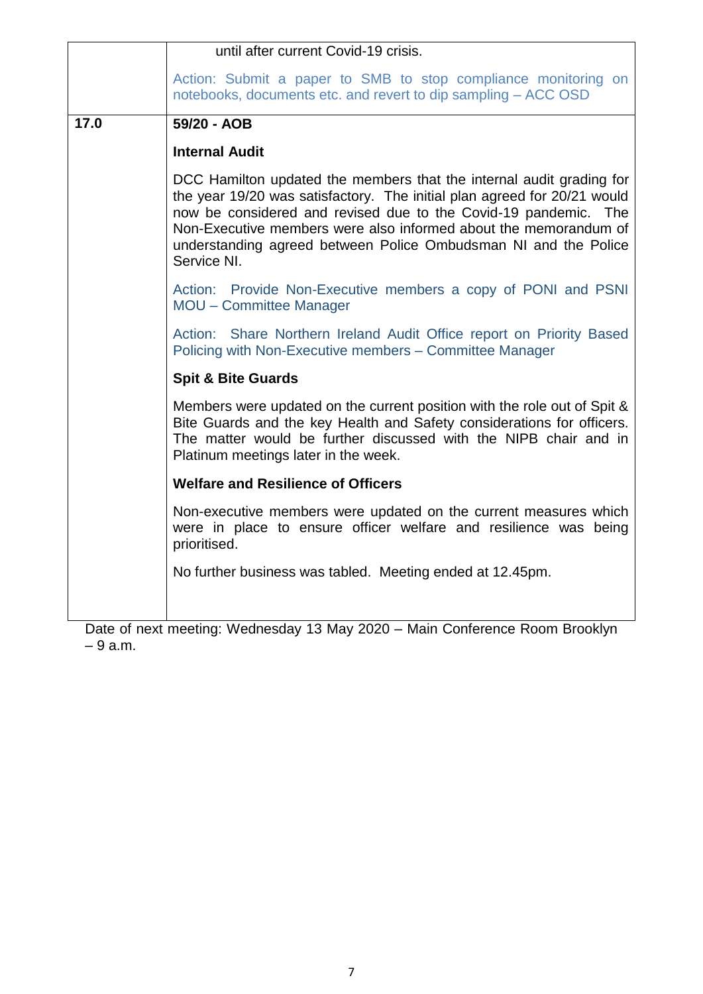|      | until after current Covid-19 crisis.                                                                                                                                                                                                                                                                                                                                      |  |  |
|------|---------------------------------------------------------------------------------------------------------------------------------------------------------------------------------------------------------------------------------------------------------------------------------------------------------------------------------------------------------------------------|--|--|
|      | Action: Submit a paper to SMB to stop compliance monitoring on<br>notebooks, documents etc. and revert to dip sampling - ACC OSD                                                                                                                                                                                                                                          |  |  |
| 17.0 | 59/20 - AOB                                                                                                                                                                                                                                                                                                                                                               |  |  |
|      | <b>Internal Audit</b>                                                                                                                                                                                                                                                                                                                                                     |  |  |
|      | DCC Hamilton updated the members that the internal audit grading for<br>the year 19/20 was satisfactory. The initial plan agreed for 20/21 would<br>now be considered and revised due to the Covid-19 pandemic. The<br>Non-Executive members were also informed about the memorandum of<br>understanding agreed between Police Ombudsman NI and the Police<br>Service NI. |  |  |
|      | Action: Provide Non-Executive members a copy of PONI and PSNI<br><b>MOU - Committee Manager</b>                                                                                                                                                                                                                                                                           |  |  |
|      | Action: Share Northern Ireland Audit Office report on Priority Based<br>Policing with Non-Executive members - Committee Manager                                                                                                                                                                                                                                           |  |  |
|      | <b>Spit &amp; Bite Guards</b>                                                                                                                                                                                                                                                                                                                                             |  |  |
|      | Members were updated on the current position with the role out of Spit &<br>Bite Guards and the key Health and Safety considerations for officers.<br>The matter would be further discussed with the NIPB chair and in<br>Platinum meetings later in the week.                                                                                                            |  |  |
|      | <b>Welfare and Resilience of Officers</b>                                                                                                                                                                                                                                                                                                                                 |  |  |
|      | Non-executive members were updated on the current measures which<br>were in place to ensure officer welfare and resilience was being<br>prioritised.                                                                                                                                                                                                                      |  |  |
|      | No further business was tabled. Meeting ended at 12.45pm.                                                                                                                                                                                                                                                                                                                 |  |  |

Date of next meeting: Wednesday 13 May 2020 – Main Conference Room Brooklyn – 9 a.m.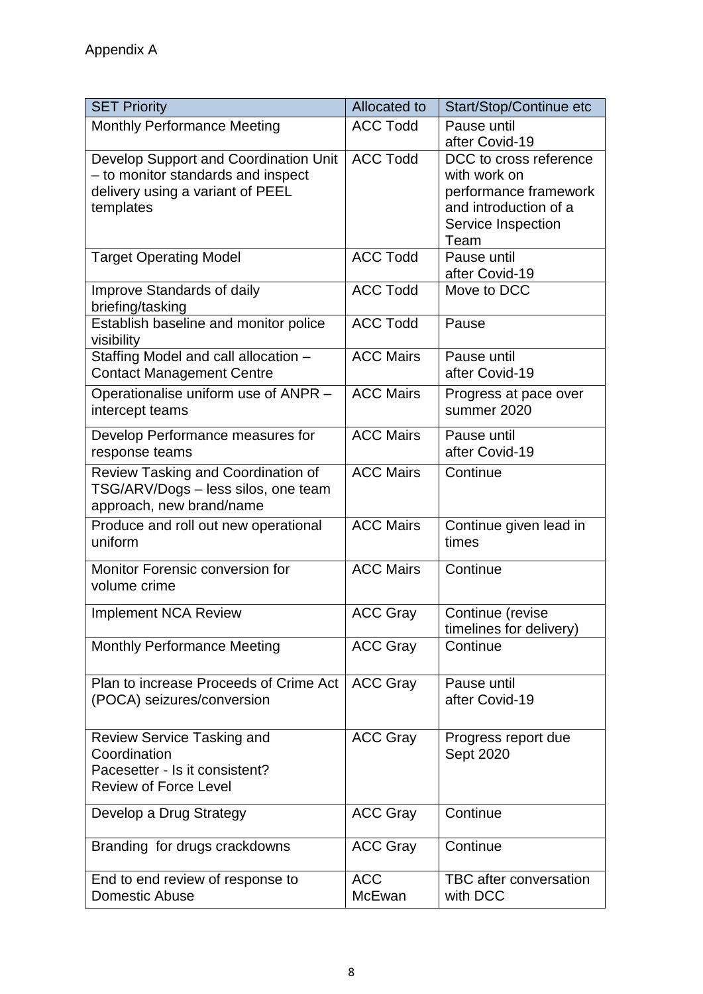| <b>ACC Todd</b><br><b>Monthly Performance Meeting</b><br>Pause until<br>after Covid-19<br><b>ACC Todd</b><br>Develop Support and Coordination Unit<br>DCC to cross reference<br>- to monitor standards and inspect<br>with work on<br>delivery using a variant of PEEL<br>performance framework<br>and introduction of a<br>templates<br>Service Inspection<br>Team<br><b>ACC Todd</b><br>Pause until<br><b>Target Operating Model</b><br>after Covid-19<br><b>ACC Todd</b><br>Improve Standards of daily<br>Move to DCC<br>briefing/tasking<br>Establish baseline and monitor police<br><b>ACC Todd</b><br>Pause<br>visibility<br>Staffing Model and call allocation -<br><b>ACC Mairs</b><br>Pause until<br><b>Contact Management Centre</b><br>after Covid-19<br><b>ACC Mairs</b><br>Operationalise uniform use of ANPR -<br>Progress at pace over<br>summer 2020<br>intercept teams<br><b>ACC Mairs</b><br>Develop Performance measures for<br>Pause until<br>after Covid-19<br>response teams<br><b>ACC Mairs</b><br>Review Tasking and Coordination of<br>Continue<br>TSG/ARV/Dogs - less silos, one team<br>approach, new brand/name<br><b>ACC Mairs</b><br>Produce and roll out new operational<br>Continue given lead in<br>uniform<br>times<br><b>ACC Mairs</b><br>Monitor Forensic conversion for<br>Continue<br>volume crime<br><b>ACC Gray</b><br><b>Implement NCA Review</b><br>Continue (revise<br>timelines for delivery)<br><b>ACC Gray</b><br><b>Monthly Performance Meeting</b><br>Continue<br>Plan to increase Proceeds of Crime Act<br><b>ACC Gray</b><br>Pause until<br>after Covid-19<br>(POCA) seizures/conversion<br><b>ACC Gray</b><br>Review Service Tasking and<br>Progress report due<br>Sept 2020<br>Coordination<br>Pacesetter - Is it consistent?<br><b>Review of Force Level</b><br><b>ACC Gray</b><br>Continue<br>Develop a Drug Strategy<br>Continue<br>Branding for drugs crackdowns<br><b>ACC Gray</b><br><b>ACC</b><br>TBC after conversation<br>End to end review of response to<br><b>Domestic Abuse</b><br>McEwan<br>with DCC | <b>SET Priority</b> | Allocated to | Start/Stop/Continue etc |
|------------------------------------------------------------------------------------------------------------------------------------------------------------------------------------------------------------------------------------------------------------------------------------------------------------------------------------------------------------------------------------------------------------------------------------------------------------------------------------------------------------------------------------------------------------------------------------------------------------------------------------------------------------------------------------------------------------------------------------------------------------------------------------------------------------------------------------------------------------------------------------------------------------------------------------------------------------------------------------------------------------------------------------------------------------------------------------------------------------------------------------------------------------------------------------------------------------------------------------------------------------------------------------------------------------------------------------------------------------------------------------------------------------------------------------------------------------------------------------------------------------------------------------------------------------------------------------------------------------------------------------------------------------------------------------------------------------------------------------------------------------------------------------------------------------------------------------------------------------------------------------------------------------------------------------------------------------------------------------------------------------------------------------------------------------------------|---------------------|--------------|-------------------------|
|                                                                                                                                                                                                                                                                                                                                                                                                                                                                                                                                                                                                                                                                                                                                                                                                                                                                                                                                                                                                                                                                                                                                                                                                                                                                                                                                                                                                                                                                                                                                                                                                                                                                                                                                                                                                                                                                                                                                                                                                                                                                        |                     |              |                         |
|                                                                                                                                                                                                                                                                                                                                                                                                                                                                                                                                                                                                                                                                                                                                                                                                                                                                                                                                                                                                                                                                                                                                                                                                                                                                                                                                                                                                                                                                                                                                                                                                                                                                                                                                                                                                                                                                                                                                                                                                                                                                        |                     |              |                         |
|                                                                                                                                                                                                                                                                                                                                                                                                                                                                                                                                                                                                                                                                                                                                                                                                                                                                                                                                                                                                                                                                                                                                                                                                                                                                                                                                                                                                                                                                                                                                                                                                                                                                                                                                                                                                                                                                                                                                                                                                                                                                        |                     |              |                         |
|                                                                                                                                                                                                                                                                                                                                                                                                                                                                                                                                                                                                                                                                                                                                                                                                                                                                                                                                                                                                                                                                                                                                                                                                                                                                                                                                                                                                                                                                                                                                                                                                                                                                                                                                                                                                                                                                                                                                                                                                                                                                        |                     |              |                         |
|                                                                                                                                                                                                                                                                                                                                                                                                                                                                                                                                                                                                                                                                                                                                                                                                                                                                                                                                                                                                                                                                                                                                                                                                                                                                                                                                                                                                                                                                                                                                                                                                                                                                                                                                                                                                                                                                                                                                                                                                                                                                        |                     |              |                         |
|                                                                                                                                                                                                                                                                                                                                                                                                                                                                                                                                                                                                                                                                                                                                                                                                                                                                                                                                                                                                                                                                                                                                                                                                                                                                                                                                                                                                                                                                                                                                                                                                                                                                                                                                                                                                                                                                                                                                                                                                                                                                        |                     |              |                         |
|                                                                                                                                                                                                                                                                                                                                                                                                                                                                                                                                                                                                                                                                                                                                                                                                                                                                                                                                                                                                                                                                                                                                                                                                                                                                                                                                                                                                                                                                                                                                                                                                                                                                                                                                                                                                                                                                                                                                                                                                                                                                        |                     |              |                         |
|                                                                                                                                                                                                                                                                                                                                                                                                                                                                                                                                                                                                                                                                                                                                                                                                                                                                                                                                                                                                                                                                                                                                                                                                                                                                                                                                                                                                                                                                                                                                                                                                                                                                                                                                                                                                                                                                                                                                                                                                                                                                        |                     |              |                         |
|                                                                                                                                                                                                                                                                                                                                                                                                                                                                                                                                                                                                                                                                                                                                                                                                                                                                                                                                                                                                                                                                                                                                                                                                                                                                                                                                                                                                                                                                                                                                                                                                                                                                                                                                                                                                                                                                                                                                                                                                                                                                        |                     |              |                         |
|                                                                                                                                                                                                                                                                                                                                                                                                                                                                                                                                                                                                                                                                                                                                                                                                                                                                                                                                                                                                                                                                                                                                                                                                                                                                                                                                                                                                                                                                                                                                                                                                                                                                                                                                                                                                                                                                                                                                                                                                                                                                        |                     |              |                         |
|                                                                                                                                                                                                                                                                                                                                                                                                                                                                                                                                                                                                                                                                                                                                                                                                                                                                                                                                                                                                                                                                                                                                                                                                                                                                                                                                                                                                                                                                                                                                                                                                                                                                                                                                                                                                                                                                                                                                                                                                                                                                        |                     |              |                         |
|                                                                                                                                                                                                                                                                                                                                                                                                                                                                                                                                                                                                                                                                                                                                                                                                                                                                                                                                                                                                                                                                                                                                                                                                                                                                                                                                                                                                                                                                                                                                                                                                                                                                                                                                                                                                                                                                                                                                                                                                                                                                        |                     |              |                         |
|                                                                                                                                                                                                                                                                                                                                                                                                                                                                                                                                                                                                                                                                                                                                                                                                                                                                                                                                                                                                                                                                                                                                                                                                                                                                                                                                                                                                                                                                                                                                                                                                                                                                                                                                                                                                                                                                                                                                                                                                                                                                        |                     |              |                         |
|                                                                                                                                                                                                                                                                                                                                                                                                                                                                                                                                                                                                                                                                                                                                                                                                                                                                                                                                                                                                                                                                                                                                                                                                                                                                                                                                                                                                                                                                                                                                                                                                                                                                                                                                                                                                                                                                                                                                                                                                                                                                        |                     |              |                         |
|                                                                                                                                                                                                                                                                                                                                                                                                                                                                                                                                                                                                                                                                                                                                                                                                                                                                                                                                                                                                                                                                                                                                                                                                                                                                                                                                                                                                                                                                                                                                                                                                                                                                                                                                                                                                                                                                                                                                                                                                                                                                        |                     |              |                         |
|                                                                                                                                                                                                                                                                                                                                                                                                                                                                                                                                                                                                                                                                                                                                                                                                                                                                                                                                                                                                                                                                                                                                                                                                                                                                                                                                                                                                                                                                                                                                                                                                                                                                                                                                                                                                                                                                                                                                                                                                                                                                        |                     |              |                         |
|                                                                                                                                                                                                                                                                                                                                                                                                                                                                                                                                                                                                                                                                                                                                                                                                                                                                                                                                                                                                                                                                                                                                                                                                                                                                                                                                                                                                                                                                                                                                                                                                                                                                                                                                                                                                                                                                                                                                                                                                                                                                        |                     |              |                         |
|                                                                                                                                                                                                                                                                                                                                                                                                                                                                                                                                                                                                                                                                                                                                                                                                                                                                                                                                                                                                                                                                                                                                                                                                                                                                                                                                                                                                                                                                                                                                                                                                                                                                                                                                                                                                                                                                                                                                                                                                                                                                        |                     |              |                         |
|                                                                                                                                                                                                                                                                                                                                                                                                                                                                                                                                                                                                                                                                                                                                                                                                                                                                                                                                                                                                                                                                                                                                                                                                                                                                                                                                                                                                                                                                                                                                                                                                                                                                                                                                                                                                                                                                                                                                                                                                                                                                        |                     |              |                         |
|                                                                                                                                                                                                                                                                                                                                                                                                                                                                                                                                                                                                                                                                                                                                                                                                                                                                                                                                                                                                                                                                                                                                                                                                                                                                                                                                                                                                                                                                                                                                                                                                                                                                                                                                                                                                                                                                                                                                                                                                                                                                        |                     |              |                         |
|                                                                                                                                                                                                                                                                                                                                                                                                                                                                                                                                                                                                                                                                                                                                                                                                                                                                                                                                                                                                                                                                                                                                                                                                                                                                                                                                                                                                                                                                                                                                                                                                                                                                                                                                                                                                                                                                                                                                                                                                                                                                        |                     |              |                         |
|                                                                                                                                                                                                                                                                                                                                                                                                                                                                                                                                                                                                                                                                                                                                                                                                                                                                                                                                                                                                                                                                                                                                                                                                                                                                                                                                                                                                                                                                                                                                                                                                                                                                                                                                                                                                                                                                                                                                                                                                                                                                        |                     |              |                         |
|                                                                                                                                                                                                                                                                                                                                                                                                                                                                                                                                                                                                                                                                                                                                                                                                                                                                                                                                                                                                                                                                                                                                                                                                                                                                                                                                                                                                                                                                                                                                                                                                                                                                                                                                                                                                                                                                                                                                                                                                                                                                        |                     |              |                         |
|                                                                                                                                                                                                                                                                                                                                                                                                                                                                                                                                                                                                                                                                                                                                                                                                                                                                                                                                                                                                                                                                                                                                                                                                                                                                                                                                                                                                                                                                                                                                                                                                                                                                                                                                                                                                                                                                                                                                                                                                                                                                        |                     |              |                         |
|                                                                                                                                                                                                                                                                                                                                                                                                                                                                                                                                                                                                                                                                                                                                                                                                                                                                                                                                                                                                                                                                                                                                                                                                                                                                                                                                                                                                                                                                                                                                                                                                                                                                                                                                                                                                                                                                                                                                                                                                                                                                        |                     |              |                         |
|                                                                                                                                                                                                                                                                                                                                                                                                                                                                                                                                                                                                                                                                                                                                                                                                                                                                                                                                                                                                                                                                                                                                                                                                                                                                                                                                                                                                                                                                                                                                                                                                                                                                                                                                                                                                                                                                                                                                                                                                                                                                        |                     |              |                         |
|                                                                                                                                                                                                                                                                                                                                                                                                                                                                                                                                                                                                                                                                                                                                                                                                                                                                                                                                                                                                                                                                                                                                                                                                                                                                                                                                                                                                                                                                                                                                                                                                                                                                                                                                                                                                                                                                                                                                                                                                                                                                        |                     |              |                         |
|                                                                                                                                                                                                                                                                                                                                                                                                                                                                                                                                                                                                                                                                                                                                                                                                                                                                                                                                                                                                                                                                                                                                                                                                                                                                                                                                                                                                                                                                                                                                                                                                                                                                                                                                                                                                                                                                                                                                                                                                                                                                        |                     |              |                         |
|                                                                                                                                                                                                                                                                                                                                                                                                                                                                                                                                                                                                                                                                                                                                                                                                                                                                                                                                                                                                                                                                                                                                                                                                                                                                                                                                                                                                                                                                                                                                                                                                                                                                                                                                                                                                                                                                                                                                                                                                                                                                        |                     |              |                         |
|                                                                                                                                                                                                                                                                                                                                                                                                                                                                                                                                                                                                                                                                                                                                                                                                                                                                                                                                                                                                                                                                                                                                                                                                                                                                                                                                                                                                                                                                                                                                                                                                                                                                                                                                                                                                                                                                                                                                                                                                                                                                        |                     |              |                         |
|                                                                                                                                                                                                                                                                                                                                                                                                                                                                                                                                                                                                                                                                                                                                                                                                                                                                                                                                                                                                                                                                                                                                                                                                                                                                                                                                                                                                                                                                                                                                                                                                                                                                                                                                                                                                                                                                                                                                                                                                                                                                        |                     |              |                         |
|                                                                                                                                                                                                                                                                                                                                                                                                                                                                                                                                                                                                                                                                                                                                                                                                                                                                                                                                                                                                                                                                                                                                                                                                                                                                                                                                                                                                                                                                                                                                                                                                                                                                                                                                                                                                                                                                                                                                                                                                                                                                        |                     |              |                         |
|                                                                                                                                                                                                                                                                                                                                                                                                                                                                                                                                                                                                                                                                                                                                                                                                                                                                                                                                                                                                                                                                                                                                                                                                                                                                                                                                                                                                                                                                                                                                                                                                                                                                                                                                                                                                                                                                                                                                                                                                                                                                        |                     |              |                         |
|                                                                                                                                                                                                                                                                                                                                                                                                                                                                                                                                                                                                                                                                                                                                                                                                                                                                                                                                                                                                                                                                                                                                                                                                                                                                                                                                                                                                                                                                                                                                                                                                                                                                                                                                                                                                                                                                                                                                                                                                                                                                        |                     |              |                         |
|                                                                                                                                                                                                                                                                                                                                                                                                                                                                                                                                                                                                                                                                                                                                                                                                                                                                                                                                                                                                                                                                                                                                                                                                                                                                                                                                                                                                                                                                                                                                                                                                                                                                                                                                                                                                                                                                                                                                                                                                                                                                        |                     |              |                         |
|                                                                                                                                                                                                                                                                                                                                                                                                                                                                                                                                                                                                                                                                                                                                                                                                                                                                                                                                                                                                                                                                                                                                                                                                                                                                                                                                                                                                                                                                                                                                                                                                                                                                                                                                                                                                                                                                                                                                                                                                                                                                        |                     |              |                         |
|                                                                                                                                                                                                                                                                                                                                                                                                                                                                                                                                                                                                                                                                                                                                                                                                                                                                                                                                                                                                                                                                                                                                                                                                                                                                                                                                                                                                                                                                                                                                                                                                                                                                                                                                                                                                                                                                                                                                                                                                                                                                        |                     |              |                         |
|                                                                                                                                                                                                                                                                                                                                                                                                                                                                                                                                                                                                                                                                                                                                                                                                                                                                                                                                                                                                                                                                                                                                                                                                                                                                                                                                                                                                                                                                                                                                                                                                                                                                                                                                                                                                                                                                                                                                                                                                                                                                        |                     |              |                         |
|                                                                                                                                                                                                                                                                                                                                                                                                                                                                                                                                                                                                                                                                                                                                                                                                                                                                                                                                                                                                                                                                                                                                                                                                                                                                                                                                                                                                                                                                                                                                                                                                                                                                                                                                                                                                                                                                                                                                                                                                                                                                        |                     |              |                         |
|                                                                                                                                                                                                                                                                                                                                                                                                                                                                                                                                                                                                                                                                                                                                                                                                                                                                                                                                                                                                                                                                                                                                                                                                                                                                                                                                                                                                                                                                                                                                                                                                                                                                                                                                                                                                                                                                                                                                                                                                                                                                        |                     |              |                         |
|                                                                                                                                                                                                                                                                                                                                                                                                                                                                                                                                                                                                                                                                                                                                                                                                                                                                                                                                                                                                                                                                                                                                                                                                                                                                                                                                                                                                                                                                                                                                                                                                                                                                                                                                                                                                                                                                                                                                                                                                                                                                        |                     |              |                         |
|                                                                                                                                                                                                                                                                                                                                                                                                                                                                                                                                                                                                                                                                                                                                                                                                                                                                                                                                                                                                                                                                                                                                                                                                                                                                                                                                                                                                                                                                                                                                                                                                                                                                                                                                                                                                                                                                                                                                                                                                                                                                        |                     |              |                         |
|                                                                                                                                                                                                                                                                                                                                                                                                                                                                                                                                                                                                                                                                                                                                                                                                                                                                                                                                                                                                                                                                                                                                                                                                                                                                                                                                                                                                                                                                                                                                                                                                                                                                                                                                                                                                                                                                                                                                                                                                                                                                        |                     |              |                         |
|                                                                                                                                                                                                                                                                                                                                                                                                                                                                                                                                                                                                                                                                                                                                                                                                                                                                                                                                                                                                                                                                                                                                                                                                                                                                                                                                                                                                                                                                                                                                                                                                                                                                                                                                                                                                                                                                                                                                                                                                                                                                        |                     |              |                         |
|                                                                                                                                                                                                                                                                                                                                                                                                                                                                                                                                                                                                                                                                                                                                                                                                                                                                                                                                                                                                                                                                                                                                                                                                                                                                                                                                                                                                                                                                                                                                                                                                                                                                                                                                                                                                                                                                                                                                                                                                                                                                        |                     |              |                         |